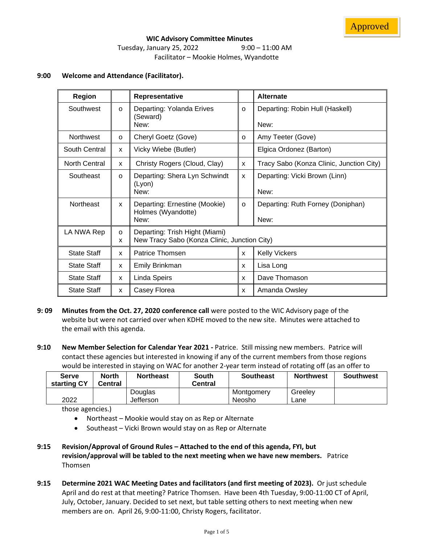# **9:00 Welcome and Attendance (Facilitator).**

| <b>Region</b>      |                                            | Representative                               |              | <b>Alternate</b>                         |  |  |  |
|--------------------|--------------------------------------------|----------------------------------------------|--------------|------------------------------------------|--|--|--|
| Southwest          | $\Omega$                                   | Departing: Yolanda Erives<br>(Seward)        | $\Omega$     | Departing: Robin Hull (Haskell)          |  |  |  |
|                    |                                            | New:                                         |              | New:                                     |  |  |  |
| <b>Northwest</b>   | $\Omega$                                   | Cheryl Goetz (Gove)                          | $\Omega$     | Amy Teeter (Gove)                        |  |  |  |
| South Central      | $\mathsf{x}$                               | Vicky Wiebe (Butler)                         |              | Elgica Ordonez (Barton)                  |  |  |  |
| North Central      | X                                          | Christy Rogers (Cloud, Clay)                 | X            | Tracy Sabo (Konza Clinic, Junction City) |  |  |  |
| Southeast          | $\Omega$                                   | Departing: Shera Lyn Schwindt                | $\mathsf{x}$ | Departing: Vicki Brown (Linn)            |  |  |  |
|                    |                                            | (Lyon)<br>New:                               |              | New:                                     |  |  |  |
| <b>Northeast</b>   | X                                          | Departing: Ernestine (Mookie)                | $\Omega$     | Departing: Ruth Forney (Doniphan)        |  |  |  |
|                    |                                            | Holmes (Wyandotte)<br>New:                   |              | New:                                     |  |  |  |
| LA NWA Rep         | Departing: Trish Hight (Miami)<br>$\Omega$ |                                              |              |                                          |  |  |  |
|                    | X                                          | New Tracy Sabo (Konza Clinic, Junction City) |              |                                          |  |  |  |
| <b>State Staff</b> | X                                          | Patrice Thomsen                              | $\mathsf{x}$ | <b>Kelly Vickers</b>                     |  |  |  |
| <b>State Staff</b> | X                                          | Emily Brinkman                               | X            | Lisa Long                                |  |  |  |
| <b>State Staff</b> | X                                          | Linda Speirs                                 | X            | Dave Thomason                            |  |  |  |
| <b>State Staff</b> | X                                          | Casey Florea                                 | X            | Amanda Owsley                            |  |  |  |

- **9: 09 Minutes from the Oct. 27, 2020 conference call** were posted to the WIC Advisory page of the website but were not carried over when KDHE moved to the new site. Minutes were attached to the email with this agenda.
- **9:10 New Member Selection for Calendar Year 2021 -** Patrice. Still missing new members. Patrice will contact these agencies but interested in knowing if any of the current members from those regions would be interested in staying on WAC for another 2-year term instead of rotating off (as an offer to

| Serve<br>starting CY | <b>North</b><br>Central | <b>Northeast</b> | South<br><b>Central</b> | <b>Southeast</b> | <b>Northwest</b> | Southwest |
|----------------------|-------------------------|------------------|-------------------------|------------------|------------------|-----------|
|                      |                         | Douglas          |                         | Montgomery       | Greelev          |           |
| 2022                 |                         | Jefferson        |                         | Neosho           | ∟ane             |           |

those agencies.)

- Northeast Mookie would stay on as Rep or Alternate
- Southeast Vicki Brown would stay on as Rep or Alternate
- **9:15 Revision/Approval of Ground Rules – Attached to the end of this agenda, FYI, but revision/approval will be tabled to the next meeting when we have new members.** Patrice **Thomsen**
- **9:15 Determine 2021 WAC Meeting Dates and facilitators (and first meeting of 2023).** Or just schedule April and do rest at that meeting? Patrice Thomsen. Have been 4th Tuesday, 9:00-11:00 CT of April, July, October, January. Decided to set next, but table setting others to next meeting when new members are on. April 26, 9:00-11:00, Christy Rogers, facilitator.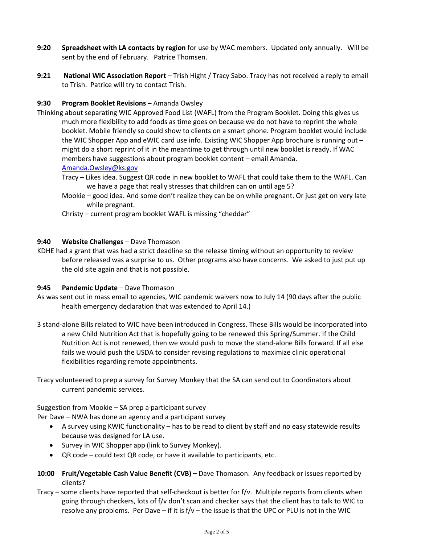- **9:20 Spreadsheet with LA contacts by region** for use by WAC members. Updated only annually. Will be sent by the end of February. Patrice Thomsen.
- **9:21 National WIC Association Report** Trish Hight / Tracy Sabo. Tracy has not received a reply to email to Trish. Patrice will try to contact Trish.

# **9:30 Program Booklet Revisions –** Amanda Owsley

- Thinking about separating WIC Approved Food List (WAFL) from the Program Booklet. Doing this gives us much more flexibility to add foods as time goes on because we do not have to reprint the whole booklet. Mobile friendly so could show to clients on a smart phone. Program booklet would include the WIC Shopper App and eWIC card use info. Existing WIC Shopper App brochure is running out – might do a short reprint of it in the meantime to get through until new booklet is ready. If WAC members have suggestions about program booklet content – email Amanda. [Amanda.Owsley@ks.gov](mailto:Amanda.Owsley@ks.gov)
	- Tracy Likes idea. Suggest QR code in new booklet to WAFL that could take them to the WAFL. Can we have a page that really stresses that children can on until age 5?
	- Mookie good idea. And some don't realize they can be on while pregnant. Or just get on very late while pregnant.
	- Christy current program booklet WAFL is missing "cheddar"

## **9:40 Website Challenges** – Dave Thomason

KDHE had a grant that was had a strict deadline so the release timing without an opportunity to review before released was a surprise to us. Other programs also have concerns. We asked to just put up the old site again and that is not possible.

## **9:45 Pandemic Update** – Dave Thomason

- As was sent out in mass email to agencies, WIC pandemic waivers now to July 14 (90 days after the public health emergency declaration that was extended to April 14.)
- 3 stand-alone Bills related to WIC have been introduced in Congress. These Bills would be incorporated into a new Child Nutrition Act that is hopefully going to be renewed this Spring/Summer. If the Child Nutrition Act is not renewed, then we would push to move the stand-alone Bills forward. If all else fails we would push the USDA to consider revising regulations to maximize clinic operational flexibilities regarding remote appointments.
- Tracy volunteered to prep a survey for Survey Monkey that the SA can send out to Coordinators about current pandemic services.

## Suggestion from Mookie – SA prep a participant survey

Per Dave – NWA has done an agency and a participant survey

- A survey using KWIC functionality has to be read to client by staff and no easy statewide results because was designed for LA use.
- Survey in WIC Shopper app (link to Survey Monkey).
- QR code could text QR code, or have it available to participants, etc.
- **10:00 Fruit/Vegetable Cash Value Benefit (CVB) –** Dave Thomason. Any feedback or issues reported by clients?
- Tracy some clients have reported that self-checkout is better for f/v. Multiple reports from clients when going through checkers, lots of f/v don't scan and checker says that the client has to talk to WIC to resolve any problems. Per Dave – if it is  $f/v$  – the issue is that the UPC or PLU is not in the WIC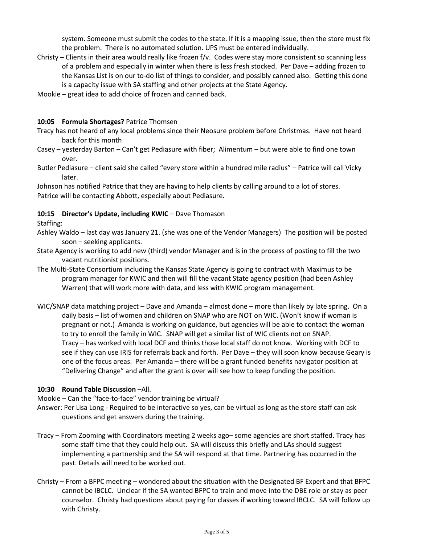system. Someone must submit the codes to the state. If it is a mapping issue, then the store must fix the problem. There is no automated solution. UPS must be entered individually.

- Christy Clients in their area would really like frozen f/v. Codes were stay more consistent so scanning less of a problem and especially in winter when there is less fresh stocked. Per Dave – adding frozen to the Kansas List is on our to-do list of things to consider, and possibly canned also. Getting this done is a capacity issue with SA staffing and other projects at the State Agency.
- Mookie great idea to add choice of frozen and canned back.

## **10:05 Formula Shortages?** Patrice Thomsen

- Tracy has not heard of any local problems since their Neosure problem before Christmas. Have not heard back for this month
- Casey yesterday Barton Can't get Pediasure with fiber; Alimentum but were able to find one town over.
- Butler Pediasure client said she called "every store within a hundred mile radius" Patrice will call Vicky later.

Johnson has notified Patrice that they are having to help clients by calling around to a lot of stores. Patrice will be contacting Abbott, especially about Pediasure.

## **10:15 Director's Update, including KWIC** – Dave Thomason

## Staffing:

- Ashley Waldo last day was January 21. (she was one of the Vendor Managers) The position will be posted soon – seeking applicants.
- State Agency is working to add new (third) vendor Manager and is in the process of posting to fill the two vacant nutritionist positions.
- The Multi-State Consortium including the Kansas State Agency is going to contract with Maximus to be program manager for KWIC and then will fill the vacant State agency position (had been Ashley Warren) that will work more with data, and less with KWIC program management.
- WIC/SNAP data matching project Dave and Amanda almost done more than likely by late spring. On a daily basis – list of women and children on SNAP who are NOT on WIC. (Won't know if woman is pregnant or not.) Amanda is working on guidance, but agencies will be able to contact the woman to try to enroll the family in WIC. SNAP will get a similar list of WIC clients not on SNAP. Tracy – has worked with local DCF and thinks those local staff do not know. Working with DCF to see if they can use IRIS for referrals back and forth. Per Dave – they will soon know because Geary is one of the focus areas. Per Amanda – there will be a grant funded benefits navigator position at "Delivering Change" and after the grant is over will see how to keep funding the position.

## **10:30 Round Table Discussion** –All.

Mookie – Can the "face-to-face" vendor training be virtual?

- Answer: Per Lisa Long Required to be interactive so yes, can be virtual as long as the store staff can ask questions and get answers during the training.
- Tracy From Zooming with Coordinators meeting 2 weeks ago– some agencies are short staffed. Tracy has some staff time that they could help out. SA will discuss this briefly and LAs should suggest implementing a partnership and the SA will respond at that time. Partnering has occurred in the past. Details will need to be worked out.
- Christy From a BFPC meeting wondered about the situation with the Designated BF Expert and that BFPC cannot be IBCLC. Unclear if the SA wanted BFPC to train and move into the DBE role or stay as peer counselor. Christy had questions about paying for classes if working toward IBCLC. SA will follow up with Christy.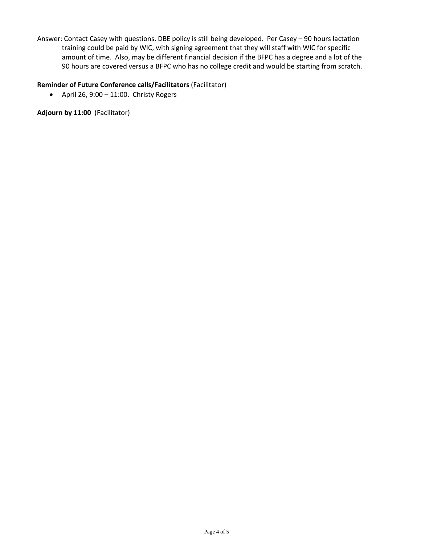Answer: Contact Casey with questions. DBE policy is still being developed. Per Casey – 90 hours lactation training could be paid by WIC, with signing agreement that they will staff with WIC for specific amount of time. Also, may be different financial decision if the BFPC has a degree and a lot of the 90 hours are covered versus a BFPC who has no college credit and would be starting from scratch.

## **Reminder of Future Conference calls/Facilitators** (Facilitator)

• April 26,  $9:00 - 11:00$ . Christy Rogers

**Adjourn by 11:00** (Facilitator)